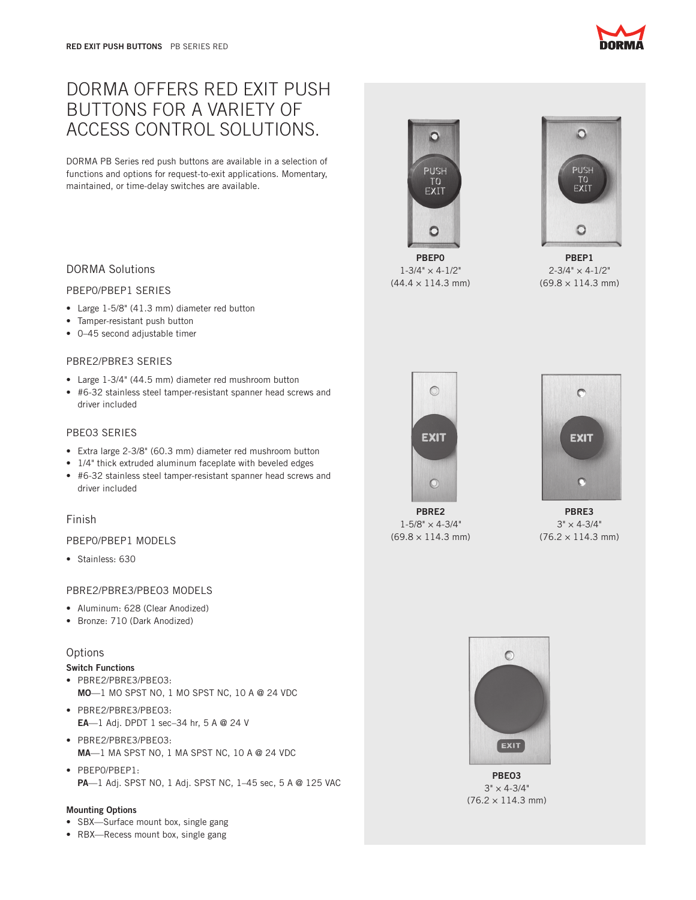# DORMA OFFERS RED EXIT PUSH BUTTONS FOR A VARIETY OF ACCESS CONTROL SOLUTIONS.

DORMA PB Series red push buttons are available in a selection of functions and options for request-to-exit applications. Momentary, maintained, or time-delay switches are available.

# DORMA Solutions

## PBEP0/PBEP1 SERIES

- Large 1-5/8" (41.3 mm) diameter red button
- Tamper-resistant push button
- • 0–45 second adjustable timer

## PBRE2/PBRE3 SERIES

- Large 1-3/4" (44.5 mm) diameter red mushroom button
- • #6-32 stainless steel tamper-resistant spanner head screws and driver included

# PBEO3 SERIES

- • Extra large 2-3/8" (60.3 mm) diameter red mushroom button
- 1/4" thick extruded aluminum faceplate with beveled edges
- • #6-32 stainless steel tamper-resistant spanner head screws and driver included

# Finish

# PBEP0/PBEP1 MODELS

• Stainless: 630

# PBRE2/PBRE3/PBEO3 MODELS

- Aluminum: 628 (Clear Anodized)
- • Bronze: 710 (Dark Anodized)

# **Options**

## Switch Functions

- • PBRE2/PBRE3/PBEO3: MO—1 MO SPST NO, 1 MO SPST NC, 10 A @ 24 VDC
- • PBRE2/PBRE3/PBEO3: EA—1 Adj. DPDT 1 sec–34 hr, 5 A @ 24 V
- • PBRE2/PBRE3/PBEO3: MA—1 MA SPST NO, 1 MA SPST NC, 10 A @ 24 VDC
- • PBEP0/PBEP1: PA—1 Adj. SPST NO, 1 Adj. SPST NC, 1–45 sec, 5 A @ 125 VAC

#### Mounting Options

- SBX-Surface mount box, single gang
- RBX—Recess mount box, single gang

TO<br>EXIT  $\circ$ PBEP0

 $\mathsf{O}$ 

**PUSH** 

 $1 - 3/4" \times 4 - 1/2"$  $(44.4 \times 114.3 \text{ mm})$ 

 $\circ$ PBEP1  $2 - 3/4" \times 4 - 1/2"$ 

 $\circ$ 

**PUSH** DT<br>EXIT

 $(69.8 \times 114.3 \text{ mm})$ 



 $\circledcirc$ 

**EXIT** 



PBRE3  $3" \times 4 - 3/4"$  $(76.2 \times 114.3 \text{ mm})$ 



PBEO3  $3" \times 4-3/4"$  $(76.2 \times 114.3 \text{ mm})$